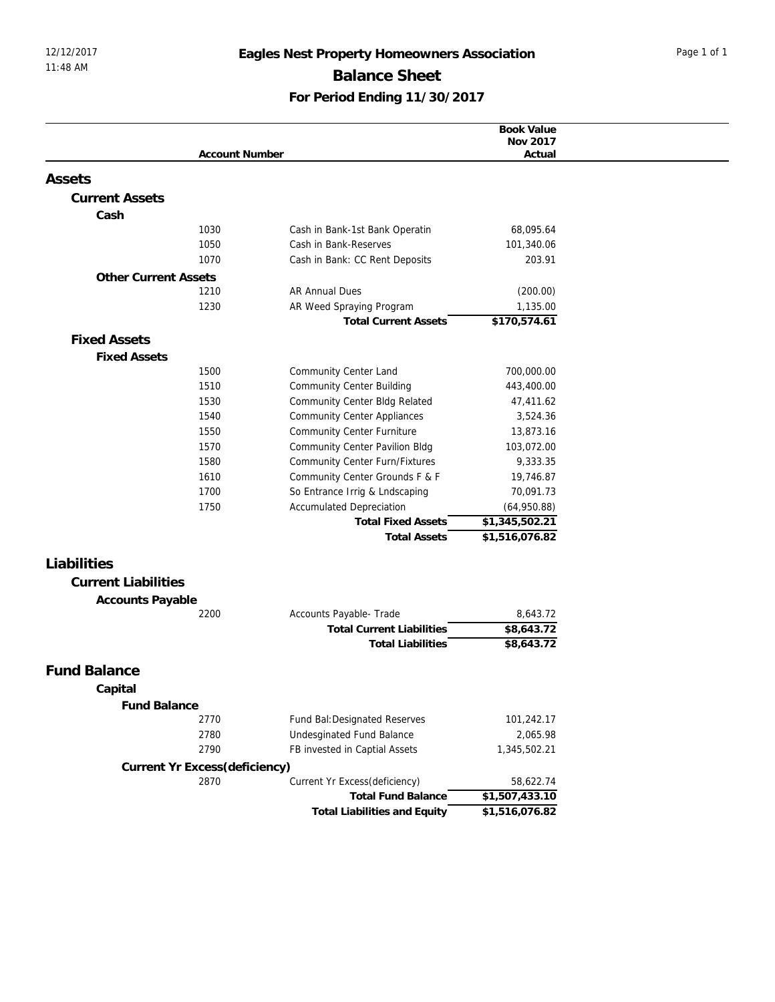## 12/12/2017 **Eagles Nest Property Homeowners Association** Page 1 of 1 Balance Sheet **For Period Ending 11/30/2017**

| <b>Account Number</b><br>Actual<br><b>Current Assets</b><br>Cash<br>1030<br>68,095.64<br>Cash in Bank-1st Bank Operatin<br>1050<br>Cash in Bank-Reserves<br>101,340.06<br>1070<br>Cash in Bank: CC Rent Deposits<br>203.91<br><b>Other Current Assets</b><br><b>AR Annual Dues</b><br>1210<br>(200.00)<br>1230<br>AR Weed Spraying Program<br>1,135.00<br>\$170,574.61<br><b>Total Current Assets</b><br><b>Fixed Assets</b><br><b>Fixed Assets</b><br>1500<br>Community Center Land<br>700,000.00<br>1510<br><b>Community Center Building</b><br>443,400.00<br>1530<br>Community Center Bldg Related<br>47,411.62<br>1540<br><b>Community Center Appliances</b><br>3,524.36<br><b>Community Center Furniture</b><br>1550<br>13,873.16<br>1570<br>Community Center Pavilion Bldg<br>103,072.00<br>1580<br>Community Center Furn/Fixtures<br>9,333.35<br>1610<br>Community Center Grounds F & F<br>19,746.87<br>1700<br>So Entrance Irrig & Lndscaping<br>70,091.73<br>1750<br><b>Accumulated Depreciation</b><br>(64,950.88)<br>\$1,345,502.21<br><b>Total Fixed Assets</b><br><b>Total Assets</b><br>\$1,516,076.82<br>Liabilities<br><b>Current Liabilities</b><br>Accounts Payable<br>Accounts Payable- Trade<br>8,643.72<br>2200<br>\$8,643.72<br><b>Total Current Liabilities</b><br>\$8,643.72<br><b>Total Liabilities</b><br><b>Fund Balance</b><br>Capital<br>Fund Balance<br>2770<br>Fund Bal: Designated Reserves<br>101,242.17<br>2780<br>Undesginated Fund Balance<br>2,065.98<br>2790<br>FB invested in Captial Assets<br>1,345,502.21<br>Current Yr Excess(deficiency)<br>Current Yr Excess(deficiency)<br>2870<br>58,622.74<br><b>Total Fund Balance</b><br>\$1,507,433.10<br>\$1,516,076.82<br><b>Total Liabilities and Equity</b> |        |  | Book Value |
|----------------------------------------------------------------------------------------------------------------------------------------------------------------------------------------------------------------------------------------------------------------------------------------------------------------------------------------------------------------------------------------------------------------------------------------------------------------------------------------------------------------------------------------------------------------------------------------------------------------------------------------------------------------------------------------------------------------------------------------------------------------------------------------------------------------------------------------------------------------------------------------------------------------------------------------------------------------------------------------------------------------------------------------------------------------------------------------------------------------------------------------------------------------------------------------------------------------------------------------------------------------------------------------------------------------------------------------------------------------------------------------------------------------------------------------------------------------------------------------------------------------------------------------------------------------------------------------------------------------------------------------------------------------------------------------------------------------------------------------------------|--------|--|------------|
|                                                                                                                                                                                                                                                                                                                                                                                                                                                                                                                                                                                                                                                                                                                                                                                                                                                                                                                                                                                                                                                                                                                                                                                                                                                                                                                                                                                                                                                                                                                                                                                                                                                                                                                                                    |        |  | Nov 2017   |
|                                                                                                                                                                                                                                                                                                                                                                                                                                                                                                                                                                                                                                                                                                                                                                                                                                                                                                                                                                                                                                                                                                                                                                                                                                                                                                                                                                                                                                                                                                                                                                                                                                                                                                                                                    |        |  |            |
|                                                                                                                                                                                                                                                                                                                                                                                                                                                                                                                                                                                                                                                                                                                                                                                                                                                                                                                                                                                                                                                                                                                                                                                                                                                                                                                                                                                                                                                                                                                                                                                                                                                                                                                                                    | Assets |  |            |
|                                                                                                                                                                                                                                                                                                                                                                                                                                                                                                                                                                                                                                                                                                                                                                                                                                                                                                                                                                                                                                                                                                                                                                                                                                                                                                                                                                                                                                                                                                                                                                                                                                                                                                                                                    |        |  |            |
|                                                                                                                                                                                                                                                                                                                                                                                                                                                                                                                                                                                                                                                                                                                                                                                                                                                                                                                                                                                                                                                                                                                                                                                                                                                                                                                                                                                                                                                                                                                                                                                                                                                                                                                                                    |        |  |            |
|                                                                                                                                                                                                                                                                                                                                                                                                                                                                                                                                                                                                                                                                                                                                                                                                                                                                                                                                                                                                                                                                                                                                                                                                                                                                                                                                                                                                                                                                                                                                                                                                                                                                                                                                                    |        |  |            |
|                                                                                                                                                                                                                                                                                                                                                                                                                                                                                                                                                                                                                                                                                                                                                                                                                                                                                                                                                                                                                                                                                                                                                                                                                                                                                                                                                                                                                                                                                                                                                                                                                                                                                                                                                    |        |  |            |
|                                                                                                                                                                                                                                                                                                                                                                                                                                                                                                                                                                                                                                                                                                                                                                                                                                                                                                                                                                                                                                                                                                                                                                                                                                                                                                                                                                                                                                                                                                                                                                                                                                                                                                                                                    |        |  |            |
|                                                                                                                                                                                                                                                                                                                                                                                                                                                                                                                                                                                                                                                                                                                                                                                                                                                                                                                                                                                                                                                                                                                                                                                                                                                                                                                                                                                                                                                                                                                                                                                                                                                                                                                                                    |        |  |            |
|                                                                                                                                                                                                                                                                                                                                                                                                                                                                                                                                                                                                                                                                                                                                                                                                                                                                                                                                                                                                                                                                                                                                                                                                                                                                                                                                                                                                                                                                                                                                                                                                                                                                                                                                                    |        |  |            |
|                                                                                                                                                                                                                                                                                                                                                                                                                                                                                                                                                                                                                                                                                                                                                                                                                                                                                                                                                                                                                                                                                                                                                                                                                                                                                                                                                                                                                                                                                                                                                                                                                                                                                                                                                    |        |  |            |
|                                                                                                                                                                                                                                                                                                                                                                                                                                                                                                                                                                                                                                                                                                                                                                                                                                                                                                                                                                                                                                                                                                                                                                                                                                                                                                                                                                                                                                                                                                                                                                                                                                                                                                                                                    |        |  |            |
|                                                                                                                                                                                                                                                                                                                                                                                                                                                                                                                                                                                                                                                                                                                                                                                                                                                                                                                                                                                                                                                                                                                                                                                                                                                                                                                                                                                                                                                                                                                                                                                                                                                                                                                                                    |        |  |            |
|                                                                                                                                                                                                                                                                                                                                                                                                                                                                                                                                                                                                                                                                                                                                                                                                                                                                                                                                                                                                                                                                                                                                                                                                                                                                                                                                                                                                                                                                                                                                                                                                                                                                                                                                                    |        |  |            |
|                                                                                                                                                                                                                                                                                                                                                                                                                                                                                                                                                                                                                                                                                                                                                                                                                                                                                                                                                                                                                                                                                                                                                                                                                                                                                                                                                                                                                                                                                                                                                                                                                                                                                                                                                    |        |  |            |
|                                                                                                                                                                                                                                                                                                                                                                                                                                                                                                                                                                                                                                                                                                                                                                                                                                                                                                                                                                                                                                                                                                                                                                                                                                                                                                                                                                                                                                                                                                                                                                                                                                                                                                                                                    |        |  |            |
|                                                                                                                                                                                                                                                                                                                                                                                                                                                                                                                                                                                                                                                                                                                                                                                                                                                                                                                                                                                                                                                                                                                                                                                                                                                                                                                                                                                                                                                                                                                                                                                                                                                                                                                                                    |        |  |            |
|                                                                                                                                                                                                                                                                                                                                                                                                                                                                                                                                                                                                                                                                                                                                                                                                                                                                                                                                                                                                                                                                                                                                                                                                                                                                                                                                                                                                                                                                                                                                                                                                                                                                                                                                                    |        |  |            |
|                                                                                                                                                                                                                                                                                                                                                                                                                                                                                                                                                                                                                                                                                                                                                                                                                                                                                                                                                                                                                                                                                                                                                                                                                                                                                                                                                                                                                                                                                                                                                                                                                                                                                                                                                    |        |  |            |
|                                                                                                                                                                                                                                                                                                                                                                                                                                                                                                                                                                                                                                                                                                                                                                                                                                                                                                                                                                                                                                                                                                                                                                                                                                                                                                                                                                                                                                                                                                                                                                                                                                                                                                                                                    |        |  |            |
|                                                                                                                                                                                                                                                                                                                                                                                                                                                                                                                                                                                                                                                                                                                                                                                                                                                                                                                                                                                                                                                                                                                                                                                                                                                                                                                                                                                                                                                                                                                                                                                                                                                                                                                                                    |        |  |            |
|                                                                                                                                                                                                                                                                                                                                                                                                                                                                                                                                                                                                                                                                                                                                                                                                                                                                                                                                                                                                                                                                                                                                                                                                                                                                                                                                                                                                                                                                                                                                                                                                                                                                                                                                                    |        |  |            |
|                                                                                                                                                                                                                                                                                                                                                                                                                                                                                                                                                                                                                                                                                                                                                                                                                                                                                                                                                                                                                                                                                                                                                                                                                                                                                                                                                                                                                                                                                                                                                                                                                                                                                                                                                    |        |  |            |
|                                                                                                                                                                                                                                                                                                                                                                                                                                                                                                                                                                                                                                                                                                                                                                                                                                                                                                                                                                                                                                                                                                                                                                                                                                                                                                                                                                                                                                                                                                                                                                                                                                                                                                                                                    |        |  |            |
|                                                                                                                                                                                                                                                                                                                                                                                                                                                                                                                                                                                                                                                                                                                                                                                                                                                                                                                                                                                                                                                                                                                                                                                                                                                                                                                                                                                                                                                                                                                                                                                                                                                                                                                                                    |        |  |            |
|                                                                                                                                                                                                                                                                                                                                                                                                                                                                                                                                                                                                                                                                                                                                                                                                                                                                                                                                                                                                                                                                                                                                                                                                                                                                                                                                                                                                                                                                                                                                                                                                                                                                                                                                                    |        |  |            |
|                                                                                                                                                                                                                                                                                                                                                                                                                                                                                                                                                                                                                                                                                                                                                                                                                                                                                                                                                                                                                                                                                                                                                                                                                                                                                                                                                                                                                                                                                                                                                                                                                                                                                                                                                    |        |  |            |
|                                                                                                                                                                                                                                                                                                                                                                                                                                                                                                                                                                                                                                                                                                                                                                                                                                                                                                                                                                                                                                                                                                                                                                                                                                                                                                                                                                                                                                                                                                                                                                                                                                                                                                                                                    |        |  |            |
|                                                                                                                                                                                                                                                                                                                                                                                                                                                                                                                                                                                                                                                                                                                                                                                                                                                                                                                                                                                                                                                                                                                                                                                                                                                                                                                                                                                                                                                                                                                                                                                                                                                                                                                                                    |        |  |            |
|                                                                                                                                                                                                                                                                                                                                                                                                                                                                                                                                                                                                                                                                                                                                                                                                                                                                                                                                                                                                                                                                                                                                                                                                                                                                                                                                                                                                                                                                                                                                                                                                                                                                                                                                                    |        |  |            |
|                                                                                                                                                                                                                                                                                                                                                                                                                                                                                                                                                                                                                                                                                                                                                                                                                                                                                                                                                                                                                                                                                                                                                                                                                                                                                                                                                                                                                                                                                                                                                                                                                                                                                                                                                    |        |  |            |
|                                                                                                                                                                                                                                                                                                                                                                                                                                                                                                                                                                                                                                                                                                                                                                                                                                                                                                                                                                                                                                                                                                                                                                                                                                                                                                                                                                                                                                                                                                                                                                                                                                                                                                                                                    |        |  |            |
|                                                                                                                                                                                                                                                                                                                                                                                                                                                                                                                                                                                                                                                                                                                                                                                                                                                                                                                                                                                                                                                                                                                                                                                                                                                                                                                                                                                                                                                                                                                                                                                                                                                                                                                                                    |        |  |            |
|                                                                                                                                                                                                                                                                                                                                                                                                                                                                                                                                                                                                                                                                                                                                                                                                                                                                                                                                                                                                                                                                                                                                                                                                                                                                                                                                                                                                                                                                                                                                                                                                                                                                                                                                                    |        |  |            |
|                                                                                                                                                                                                                                                                                                                                                                                                                                                                                                                                                                                                                                                                                                                                                                                                                                                                                                                                                                                                                                                                                                                                                                                                                                                                                                                                                                                                                                                                                                                                                                                                                                                                                                                                                    |        |  |            |
|                                                                                                                                                                                                                                                                                                                                                                                                                                                                                                                                                                                                                                                                                                                                                                                                                                                                                                                                                                                                                                                                                                                                                                                                                                                                                                                                                                                                                                                                                                                                                                                                                                                                                                                                                    |        |  |            |
|                                                                                                                                                                                                                                                                                                                                                                                                                                                                                                                                                                                                                                                                                                                                                                                                                                                                                                                                                                                                                                                                                                                                                                                                                                                                                                                                                                                                                                                                                                                                                                                                                                                                                                                                                    |        |  |            |
|                                                                                                                                                                                                                                                                                                                                                                                                                                                                                                                                                                                                                                                                                                                                                                                                                                                                                                                                                                                                                                                                                                                                                                                                                                                                                                                                                                                                                                                                                                                                                                                                                                                                                                                                                    |        |  |            |
|                                                                                                                                                                                                                                                                                                                                                                                                                                                                                                                                                                                                                                                                                                                                                                                                                                                                                                                                                                                                                                                                                                                                                                                                                                                                                                                                                                                                                                                                                                                                                                                                                                                                                                                                                    |        |  |            |
|                                                                                                                                                                                                                                                                                                                                                                                                                                                                                                                                                                                                                                                                                                                                                                                                                                                                                                                                                                                                                                                                                                                                                                                                                                                                                                                                                                                                                                                                                                                                                                                                                                                                                                                                                    |        |  |            |
|                                                                                                                                                                                                                                                                                                                                                                                                                                                                                                                                                                                                                                                                                                                                                                                                                                                                                                                                                                                                                                                                                                                                                                                                                                                                                                                                                                                                                                                                                                                                                                                                                                                                                                                                                    |        |  |            |
|                                                                                                                                                                                                                                                                                                                                                                                                                                                                                                                                                                                                                                                                                                                                                                                                                                                                                                                                                                                                                                                                                                                                                                                                                                                                                                                                                                                                                                                                                                                                                                                                                                                                                                                                                    |        |  |            |
|                                                                                                                                                                                                                                                                                                                                                                                                                                                                                                                                                                                                                                                                                                                                                                                                                                                                                                                                                                                                                                                                                                                                                                                                                                                                                                                                                                                                                                                                                                                                                                                                                                                                                                                                                    |        |  |            |
|                                                                                                                                                                                                                                                                                                                                                                                                                                                                                                                                                                                                                                                                                                                                                                                                                                                                                                                                                                                                                                                                                                                                                                                                                                                                                                                                                                                                                                                                                                                                                                                                                                                                                                                                                    |        |  |            |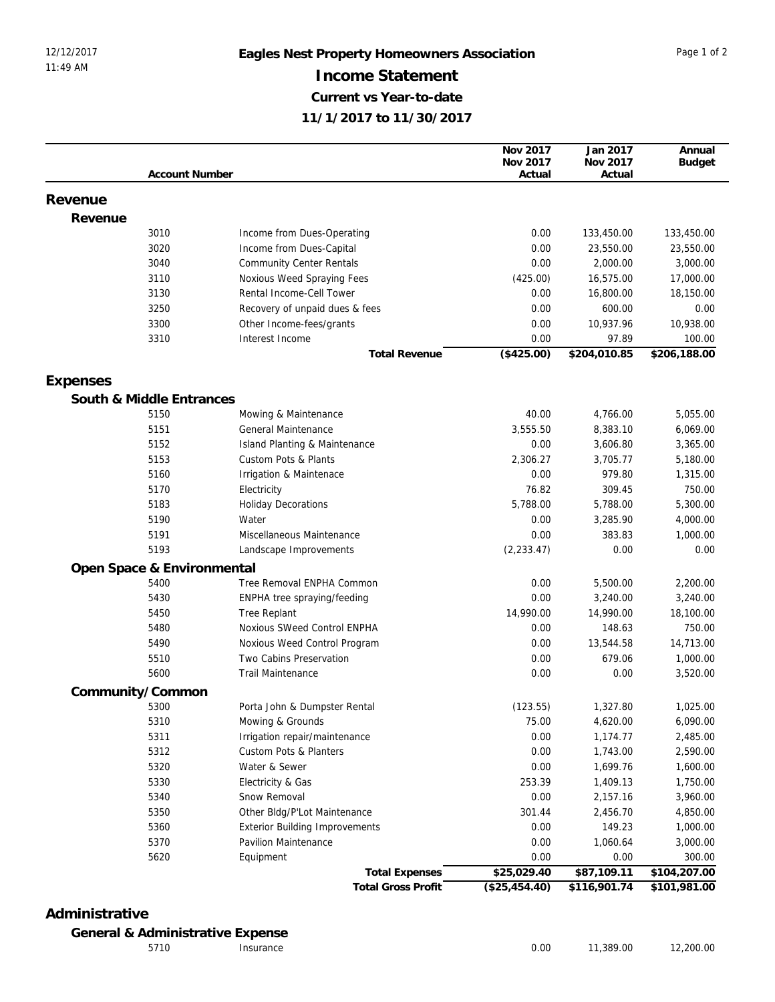| Nov 2017<br>Nov 2017<br><b>Budget</b><br><b>Account Number</b><br>Actual<br>Actual<br>Revenue<br>Revenue<br>3010<br>Income from Dues-Operating<br>0.00<br>133,450.00<br>133,450.00<br>3020<br>Income from Dues-Capital<br>0.00<br>23,550.00<br>23,550.00<br>0.00<br>3040<br><b>Community Center Rentals</b><br>2,000.00<br>3,000.00<br>3110<br>Noxious Weed Spraying Fees<br>(425.00)<br>16,575.00<br>17,000.00<br>Rental Income-Cell Tower<br>3130<br>0.00<br>16,800.00<br>18,150.00<br>3250<br>Recovery of unpaid dues & fees<br>0.00<br>600.00<br>0.00<br>3300<br>Other Income-fees/grants<br>0.00<br>10,937.96<br>10,938.00<br>3310<br>Interest Income<br>0.00<br>97.89<br>100.00<br>(\$425.00)<br>\$204,010.85<br>\$206,188.00<br><b>Total Revenue</b><br>Expenses<br>South & Middle Entrances<br>5150<br>40.00<br>4,766.00<br>5,055.00<br>Mowing & Maintenance<br>3,555.50<br>5151<br>General Maintenance<br>8,383.10<br>6,069.00<br>5152<br>0.00<br>3,606.80<br>3,365.00<br><b>Island Planting &amp; Maintenance</b><br>5153<br>Custom Pots & Plants<br>2,306.27<br>3,705.77<br>5,180.00<br>979.80<br>5160<br>0.00<br>Irrigation & Maintenace<br>1,315.00<br>76.82<br>309.45<br>750.00<br>5170<br>Electricity<br>5,788.00<br>5183<br><b>Holiday Decorations</b><br>5,788.00<br>5,300.00<br>5190<br>Water<br>0.00<br>3,285.90<br>4,000.00<br>383.83<br>5191<br>Miscellaneous Maintenance<br>0.00<br>1,000.00<br>5193<br>0.00<br>(2, 233.47)<br>0.00<br>Landscape Improvements<br>Open Space & Environmental<br>5400<br>Tree Removal ENPHA Common<br>0.00<br>5,500.00<br>2,200.00<br>5430<br>0.00<br>3,240.00<br>ENPHA tree spraying/feeding<br>3,240.00<br>5450<br>Tree Replant<br>14,990.00<br>14,990.00<br>18,100.00<br>Noxious SWeed Control ENPHA<br>148.63<br>750.00<br>5480<br>0.00<br>5490<br>Noxious Weed Control Program<br>0.00<br>13,544.58<br>14,713.00<br>5510<br>Two Cabins Preservation<br>0.00<br>679.06<br>1,000.00<br>5600<br><b>Trail Maintenance</b><br>0.00<br>0.00<br>3,520.00<br>Community/Common<br>(123.55)<br>1,025.00<br>5300<br>Porta John & Dumpster Rental<br>1,327.80<br>5310<br>Mowing & Grounds<br>75.00<br>6,090.00<br>4,620.00<br>5311<br>Irrigation repair/maintenance<br>0.00<br>1,174.77<br>2,485.00<br>5312<br>Custom Pots & Planters<br>0.00<br>1,743.00<br>2,590.00<br>5320<br>Water & Sewer<br>0.00<br>1,699.76<br>1,600.00<br>5330<br>Electricity & Gas<br>253.39<br>1,409.13<br>1,750.00<br>5340<br>Snow Removal<br>0.00<br>2,157.16<br>3,960.00<br>5350<br>Other Bldg/P'Lot Maintenance<br>301.44<br>2,456.70<br>4,850.00<br>5360<br>0.00<br>149.23<br><b>Exterior Building Improvements</b><br>1,000.00<br>5370<br>Pavilion Maintenance<br>0.00<br>1,060.64<br>3,000.00<br>5620<br>0.00<br>0.00<br>300.00<br>Equipment<br>\$25,029.40<br>\$87,109.11<br><b>Total Expenses</b><br>\$104,207.00 |  |                           | Nov 2017         | Jan 2017     | Annual       |
|---------------------------------------------------------------------------------------------------------------------------------------------------------------------------------------------------------------------------------------------------------------------------------------------------------------------------------------------------------------------------------------------------------------------------------------------------------------------------------------------------------------------------------------------------------------------------------------------------------------------------------------------------------------------------------------------------------------------------------------------------------------------------------------------------------------------------------------------------------------------------------------------------------------------------------------------------------------------------------------------------------------------------------------------------------------------------------------------------------------------------------------------------------------------------------------------------------------------------------------------------------------------------------------------------------------------------------------------------------------------------------------------------------------------------------------------------------------------------------------------------------------------------------------------------------------------------------------------------------------------------------------------------------------------------------------------------------------------------------------------------------------------------------------------------------------------------------------------------------------------------------------------------------------------------------------------------------------------------------------------------------------------------------------------------------------------------------------------------------------------------------------------------------------------------------------------------------------------------------------------------------------------------------------------------------------------------------------------------------------------------------------------------------------------------------------------------------------------------------------------------------------------------------------------------------------------------------------------------------------------------------------------------------------------------------------------------------------------------------------------------------------------------------------------------------------------------------------------------|--|---------------------------|------------------|--------------|--------------|
|                                                                                                                                                                                                                                                                                                                                                                                                                                                                                                                                                                                                                                                                                                                                                                                                                                                                                                                                                                                                                                                                                                                                                                                                                                                                                                                                                                                                                                                                                                                                                                                                                                                                                                                                                                                                                                                                                                                                                                                                                                                                                                                                                                                                                                                                                                                                                                                                                                                                                                                                                                                                                                                                                                                                                                                                                                                   |  |                           |                  |              |              |
|                                                                                                                                                                                                                                                                                                                                                                                                                                                                                                                                                                                                                                                                                                                                                                                                                                                                                                                                                                                                                                                                                                                                                                                                                                                                                                                                                                                                                                                                                                                                                                                                                                                                                                                                                                                                                                                                                                                                                                                                                                                                                                                                                                                                                                                                                                                                                                                                                                                                                                                                                                                                                                                                                                                                                                                                                                                   |  |                           |                  |              |              |
|                                                                                                                                                                                                                                                                                                                                                                                                                                                                                                                                                                                                                                                                                                                                                                                                                                                                                                                                                                                                                                                                                                                                                                                                                                                                                                                                                                                                                                                                                                                                                                                                                                                                                                                                                                                                                                                                                                                                                                                                                                                                                                                                                                                                                                                                                                                                                                                                                                                                                                                                                                                                                                                                                                                                                                                                                                                   |  |                           |                  |              |              |
|                                                                                                                                                                                                                                                                                                                                                                                                                                                                                                                                                                                                                                                                                                                                                                                                                                                                                                                                                                                                                                                                                                                                                                                                                                                                                                                                                                                                                                                                                                                                                                                                                                                                                                                                                                                                                                                                                                                                                                                                                                                                                                                                                                                                                                                                                                                                                                                                                                                                                                                                                                                                                                                                                                                                                                                                                                                   |  |                           |                  |              |              |
|                                                                                                                                                                                                                                                                                                                                                                                                                                                                                                                                                                                                                                                                                                                                                                                                                                                                                                                                                                                                                                                                                                                                                                                                                                                                                                                                                                                                                                                                                                                                                                                                                                                                                                                                                                                                                                                                                                                                                                                                                                                                                                                                                                                                                                                                                                                                                                                                                                                                                                                                                                                                                                                                                                                                                                                                                                                   |  |                           |                  |              |              |
|                                                                                                                                                                                                                                                                                                                                                                                                                                                                                                                                                                                                                                                                                                                                                                                                                                                                                                                                                                                                                                                                                                                                                                                                                                                                                                                                                                                                                                                                                                                                                                                                                                                                                                                                                                                                                                                                                                                                                                                                                                                                                                                                                                                                                                                                                                                                                                                                                                                                                                                                                                                                                                                                                                                                                                                                                                                   |  |                           |                  |              |              |
|                                                                                                                                                                                                                                                                                                                                                                                                                                                                                                                                                                                                                                                                                                                                                                                                                                                                                                                                                                                                                                                                                                                                                                                                                                                                                                                                                                                                                                                                                                                                                                                                                                                                                                                                                                                                                                                                                                                                                                                                                                                                                                                                                                                                                                                                                                                                                                                                                                                                                                                                                                                                                                                                                                                                                                                                                                                   |  |                           |                  |              |              |
|                                                                                                                                                                                                                                                                                                                                                                                                                                                                                                                                                                                                                                                                                                                                                                                                                                                                                                                                                                                                                                                                                                                                                                                                                                                                                                                                                                                                                                                                                                                                                                                                                                                                                                                                                                                                                                                                                                                                                                                                                                                                                                                                                                                                                                                                                                                                                                                                                                                                                                                                                                                                                                                                                                                                                                                                                                                   |  |                           |                  |              |              |
|                                                                                                                                                                                                                                                                                                                                                                                                                                                                                                                                                                                                                                                                                                                                                                                                                                                                                                                                                                                                                                                                                                                                                                                                                                                                                                                                                                                                                                                                                                                                                                                                                                                                                                                                                                                                                                                                                                                                                                                                                                                                                                                                                                                                                                                                                                                                                                                                                                                                                                                                                                                                                                                                                                                                                                                                                                                   |  |                           |                  |              |              |
|                                                                                                                                                                                                                                                                                                                                                                                                                                                                                                                                                                                                                                                                                                                                                                                                                                                                                                                                                                                                                                                                                                                                                                                                                                                                                                                                                                                                                                                                                                                                                                                                                                                                                                                                                                                                                                                                                                                                                                                                                                                                                                                                                                                                                                                                                                                                                                                                                                                                                                                                                                                                                                                                                                                                                                                                                                                   |  |                           |                  |              |              |
|                                                                                                                                                                                                                                                                                                                                                                                                                                                                                                                                                                                                                                                                                                                                                                                                                                                                                                                                                                                                                                                                                                                                                                                                                                                                                                                                                                                                                                                                                                                                                                                                                                                                                                                                                                                                                                                                                                                                                                                                                                                                                                                                                                                                                                                                                                                                                                                                                                                                                                                                                                                                                                                                                                                                                                                                                                                   |  |                           |                  |              |              |
|                                                                                                                                                                                                                                                                                                                                                                                                                                                                                                                                                                                                                                                                                                                                                                                                                                                                                                                                                                                                                                                                                                                                                                                                                                                                                                                                                                                                                                                                                                                                                                                                                                                                                                                                                                                                                                                                                                                                                                                                                                                                                                                                                                                                                                                                                                                                                                                                                                                                                                                                                                                                                                                                                                                                                                                                                                                   |  |                           |                  |              |              |
|                                                                                                                                                                                                                                                                                                                                                                                                                                                                                                                                                                                                                                                                                                                                                                                                                                                                                                                                                                                                                                                                                                                                                                                                                                                                                                                                                                                                                                                                                                                                                                                                                                                                                                                                                                                                                                                                                                                                                                                                                                                                                                                                                                                                                                                                                                                                                                                                                                                                                                                                                                                                                                                                                                                                                                                                                                                   |  |                           |                  |              |              |
|                                                                                                                                                                                                                                                                                                                                                                                                                                                                                                                                                                                                                                                                                                                                                                                                                                                                                                                                                                                                                                                                                                                                                                                                                                                                                                                                                                                                                                                                                                                                                                                                                                                                                                                                                                                                                                                                                                                                                                                                                                                                                                                                                                                                                                                                                                                                                                                                                                                                                                                                                                                                                                                                                                                                                                                                                                                   |  |                           |                  |              |              |
|                                                                                                                                                                                                                                                                                                                                                                                                                                                                                                                                                                                                                                                                                                                                                                                                                                                                                                                                                                                                                                                                                                                                                                                                                                                                                                                                                                                                                                                                                                                                                                                                                                                                                                                                                                                                                                                                                                                                                                                                                                                                                                                                                                                                                                                                                                                                                                                                                                                                                                                                                                                                                                                                                                                                                                                                                                                   |  |                           |                  |              |              |
|                                                                                                                                                                                                                                                                                                                                                                                                                                                                                                                                                                                                                                                                                                                                                                                                                                                                                                                                                                                                                                                                                                                                                                                                                                                                                                                                                                                                                                                                                                                                                                                                                                                                                                                                                                                                                                                                                                                                                                                                                                                                                                                                                                                                                                                                                                                                                                                                                                                                                                                                                                                                                                                                                                                                                                                                                                                   |  |                           |                  |              |              |
|                                                                                                                                                                                                                                                                                                                                                                                                                                                                                                                                                                                                                                                                                                                                                                                                                                                                                                                                                                                                                                                                                                                                                                                                                                                                                                                                                                                                                                                                                                                                                                                                                                                                                                                                                                                                                                                                                                                                                                                                                                                                                                                                                                                                                                                                                                                                                                                                                                                                                                                                                                                                                                                                                                                                                                                                                                                   |  |                           |                  |              |              |
|                                                                                                                                                                                                                                                                                                                                                                                                                                                                                                                                                                                                                                                                                                                                                                                                                                                                                                                                                                                                                                                                                                                                                                                                                                                                                                                                                                                                                                                                                                                                                                                                                                                                                                                                                                                                                                                                                                                                                                                                                                                                                                                                                                                                                                                                                                                                                                                                                                                                                                                                                                                                                                                                                                                                                                                                                                                   |  |                           |                  |              |              |
|                                                                                                                                                                                                                                                                                                                                                                                                                                                                                                                                                                                                                                                                                                                                                                                                                                                                                                                                                                                                                                                                                                                                                                                                                                                                                                                                                                                                                                                                                                                                                                                                                                                                                                                                                                                                                                                                                                                                                                                                                                                                                                                                                                                                                                                                                                                                                                                                                                                                                                                                                                                                                                                                                                                                                                                                                                                   |  |                           |                  |              |              |
|                                                                                                                                                                                                                                                                                                                                                                                                                                                                                                                                                                                                                                                                                                                                                                                                                                                                                                                                                                                                                                                                                                                                                                                                                                                                                                                                                                                                                                                                                                                                                                                                                                                                                                                                                                                                                                                                                                                                                                                                                                                                                                                                                                                                                                                                                                                                                                                                                                                                                                                                                                                                                                                                                                                                                                                                                                                   |  |                           |                  |              |              |
|                                                                                                                                                                                                                                                                                                                                                                                                                                                                                                                                                                                                                                                                                                                                                                                                                                                                                                                                                                                                                                                                                                                                                                                                                                                                                                                                                                                                                                                                                                                                                                                                                                                                                                                                                                                                                                                                                                                                                                                                                                                                                                                                                                                                                                                                                                                                                                                                                                                                                                                                                                                                                                                                                                                                                                                                                                                   |  |                           |                  |              |              |
|                                                                                                                                                                                                                                                                                                                                                                                                                                                                                                                                                                                                                                                                                                                                                                                                                                                                                                                                                                                                                                                                                                                                                                                                                                                                                                                                                                                                                                                                                                                                                                                                                                                                                                                                                                                                                                                                                                                                                                                                                                                                                                                                                                                                                                                                                                                                                                                                                                                                                                                                                                                                                                                                                                                                                                                                                                                   |  |                           |                  |              |              |
|                                                                                                                                                                                                                                                                                                                                                                                                                                                                                                                                                                                                                                                                                                                                                                                                                                                                                                                                                                                                                                                                                                                                                                                                                                                                                                                                                                                                                                                                                                                                                                                                                                                                                                                                                                                                                                                                                                                                                                                                                                                                                                                                                                                                                                                                                                                                                                                                                                                                                                                                                                                                                                                                                                                                                                                                                                                   |  |                           |                  |              |              |
|                                                                                                                                                                                                                                                                                                                                                                                                                                                                                                                                                                                                                                                                                                                                                                                                                                                                                                                                                                                                                                                                                                                                                                                                                                                                                                                                                                                                                                                                                                                                                                                                                                                                                                                                                                                                                                                                                                                                                                                                                                                                                                                                                                                                                                                                                                                                                                                                                                                                                                                                                                                                                                                                                                                                                                                                                                                   |  |                           |                  |              |              |
|                                                                                                                                                                                                                                                                                                                                                                                                                                                                                                                                                                                                                                                                                                                                                                                                                                                                                                                                                                                                                                                                                                                                                                                                                                                                                                                                                                                                                                                                                                                                                                                                                                                                                                                                                                                                                                                                                                                                                                                                                                                                                                                                                                                                                                                                                                                                                                                                                                                                                                                                                                                                                                                                                                                                                                                                                                                   |  |                           |                  |              |              |
|                                                                                                                                                                                                                                                                                                                                                                                                                                                                                                                                                                                                                                                                                                                                                                                                                                                                                                                                                                                                                                                                                                                                                                                                                                                                                                                                                                                                                                                                                                                                                                                                                                                                                                                                                                                                                                                                                                                                                                                                                                                                                                                                                                                                                                                                                                                                                                                                                                                                                                                                                                                                                                                                                                                                                                                                                                                   |  |                           |                  |              |              |
|                                                                                                                                                                                                                                                                                                                                                                                                                                                                                                                                                                                                                                                                                                                                                                                                                                                                                                                                                                                                                                                                                                                                                                                                                                                                                                                                                                                                                                                                                                                                                                                                                                                                                                                                                                                                                                                                                                                                                                                                                                                                                                                                                                                                                                                                                                                                                                                                                                                                                                                                                                                                                                                                                                                                                                                                                                                   |  |                           |                  |              |              |
|                                                                                                                                                                                                                                                                                                                                                                                                                                                                                                                                                                                                                                                                                                                                                                                                                                                                                                                                                                                                                                                                                                                                                                                                                                                                                                                                                                                                                                                                                                                                                                                                                                                                                                                                                                                                                                                                                                                                                                                                                                                                                                                                                                                                                                                                                                                                                                                                                                                                                                                                                                                                                                                                                                                                                                                                                                                   |  |                           |                  |              |              |
|                                                                                                                                                                                                                                                                                                                                                                                                                                                                                                                                                                                                                                                                                                                                                                                                                                                                                                                                                                                                                                                                                                                                                                                                                                                                                                                                                                                                                                                                                                                                                                                                                                                                                                                                                                                                                                                                                                                                                                                                                                                                                                                                                                                                                                                                                                                                                                                                                                                                                                                                                                                                                                                                                                                                                                                                                                                   |  |                           |                  |              |              |
|                                                                                                                                                                                                                                                                                                                                                                                                                                                                                                                                                                                                                                                                                                                                                                                                                                                                                                                                                                                                                                                                                                                                                                                                                                                                                                                                                                                                                                                                                                                                                                                                                                                                                                                                                                                                                                                                                                                                                                                                                                                                                                                                                                                                                                                                                                                                                                                                                                                                                                                                                                                                                                                                                                                                                                                                                                                   |  |                           |                  |              |              |
|                                                                                                                                                                                                                                                                                                                                                                                                                                                                                                                                                                                                                                                                                                                                                                                                                                                                                                                                                                                                                                                                                                                                                                                                                                                                                                                                                                                                                                                                                                                                                                                                                                                                                                                                                                                                                                                                                                                                                                                                                                                                                                                                                                                                                                                                                                                                                                                                                                                                                                                                                                                                                                                                                                                                                                                                                                                   |  |                           |                  |              |              |
|                                                                                                                                                                                                                                                                                                                                                                                                                                                                                                                                                                                                                                                                                                                                                                                                                                                                                                                                                                                                                                                                                                                                                                                                                                                                                                                                                                                                                                                                                                                                                                                                                                                                                                                                                                                                                                                                                                                                                                                                                                                                                                                                                                                                                                                                                                                                                                                                                                                                                                                                                                                                                                                                                                                                                                                                                                                   |  |                           |                  |              |              |
|                                                                                                                                                                                                                                                                                                                                                                                                                                                                                                                                                                                                                                                                                                                                                                                                                                                                                                                                                                                                                                                                                                                                                                                                                                                                                                                                                                                                                                                                                                                                                                                                                                                                                                                                                                                                                                                                                                                                                                                                                                                                                                                                                                                                                                                                                                                                                                                                                                                                                                                                                                                                                                                                                                                                                                                                                                                   |  |                           |                  |              |              |
|                                                                                                                                                                                                                                                                                                                                                                                                                                                                                                                                                                                                                                                                                                                                                                                                                                                                                                                                                                                                                                                                                                                                                                                                                                                                                                                                                                                                                                                                                                                                                                                                                                                                                                                                                                                                                                                                                                                                                                                                                                                                                                                                                                                                                                                                                                                                                                                                                                                                                                                                                                                                                                                                                                                                                                                                                                                   |  |                           |                  |              |              |
|                                                                                                                                                                                                                                                                                                                                                                                                                                                                                                                                                                                                                                                                                                                                                                                                                                                                                                                                                                                                                                                                                                                                                                                                                                                                                                                                                                                                                                                                                                                                                                                                                                                                                                                                                                                                                                                                                                                                                                                                                                                                                                                                                                                                                                                                                                                                                                                                                                                                                                                                                                                                                                                                                                                                                                                                                                                   |  |                           |                  |              |              |
|                                                                                                                                                                                                                                                                                                                                                                                                                                                                                                                                                                                                                                                                                                                                                                                                                                                                                                                                                                                                                                                                                                                                                                                                                                                                                                                                                                                                                                                                                                                                                                                                                                                                                                                                                                                                                                                                                                                                                                                                                                                                                                                                                                                                                                                                                                                                                                                                                                                                                                                                                                                                                                                                                                                                                                                                                                                   |  |                           |                  |              |              |
|                                                                                                                                                                                                                                                                                                                                                                                                                                                                                                                                                                                                                                                                                                                                                                                                                                                                                                                                                                                                                                                                                                                                                                                                                                                                                                                                                                                                                                                                                                                                                                                                                                                                                                                                                                                                                                                                                                                                                                                                                                                                                                                                                                                                                                                                                                                                                                                                                                                                                                                                                                                                                                                                                                                                                                                                                                                   |  |                           |                  |              |              |
|                                                                                                                                                                                                                                                                                                                                                                                                                                                                                                                                                                                                                                                                                                                                                                                                                                                                                                                                                                                                                                                                                                                                                                                                                                                                                                                                                                                                                                                                                                                                                                                                                                                                                                                                                                                                                                                                                                                                                                                                                                                                                                                                                                                                                                                                                                                                                                                                                                                                                                                                                                                                                                                                                                                                                                                                                                                   |  |                           |                  |              |              |
|                                                                                                                                                                                                                                                                                                                                                                                                                                                                                                                                                                                                                                                                                                                                                                                                                                                                                                                                                                                                                                                                                                                                                                                                                                                                                                                                                                                                                                                                                                                                                                                                                                                                                                                                                                                                                                                                                                                                                                                                                                                                                                                                                                                                                                                                                                                                                                                                                                                                                                                                                                                                                                                                                                                                                                                                                                                   |  |                           |                  |              |              |
|                                                                                                                                                                                                                                                                                                                                                                                                                                                                                                                                                                                                                                                                                                                                                                                                                                                                                                                                                                                                                                                                                                                                                                                                                                                                                                                                                                                                                                                                                                                                                                                                                                                                                                                                                                                                                                                                                                                                                                                                                                                                                                                                                                                                                                                                                                                                                                                                                                                                                                                                                                                                                                                                                                                                                                                                                                                   |  |                           |                  |              |              |
|                                                                                                                                                                                                                                                                                                                                                                                                                                                                                                                                                                                                                                                                                                                                                                                                                                                                                                                                                                                                                                                                                                                                                                                                                                                                                                                                                                                                                                                                                                                                                                                                                                                                                                                                                                                                                                                                                                                                                                                                                                                                                                                                                                                                                                                                                                                                                                                                                                                                                                                                                                                                                                                                                                                                                                                                                                                   |  |                           |                  |              |              |
|                                                                                                                                                                                                                                                                                                                                                                                                                                                                                                                                                                                                                                                                                                                                                                                                                                                                                                                                                                                                                                                                                                                                                                                                                                                                                                                                                                                                                                                                                                                                                                                                                                                                                                                                                                                                                                                                                                                                                                                                                                                                                                                                                                                                                                                                                                                                                                                                                                                                                                                                                                                                                                                                                                                                                                                                                                                   |  |                           |                  |              |              |
|                                                                                                                                                                                                                                                                                                                                                                                                                                                                                                                                                                                                                                                                                                                                                                                                                                                                                                                                                                                                                                                                                                                                                                                                                                                                                                                                                                                                                                                                                                                                                                                                                                                                                                                                                                                                                                                                                                                                                                                                                                                                                                                                                                                                                                                                                                                                                                                                                                                                                                                                                                                                                                                                                                                                                                                                                                                   |  |                           |                  |              |              |
|                                                                                                                                                                                                                                                                                                                                                                                                                                                                                                                                                                                                                                                                                                                                                                                                                                                                                                                                                                                                                                                                                                                                                                                                                                                                                                                                                                                                                                                                                                                                                                                                                                                                                                                                                                                                                                                                                                                                                                                                                                                                                                                                                                                                                                                                                                                                                                                                                                                                                                                                                                                                                                                                                                                                                                                                                                                   |  |                           |                  |              |              |
|                                                                                                                                                                                                                                                                                                                                                                                                                                                                                                                                                                                                                                                                                                                                                                                                                                                                                                                                                                                                                                                                                                                                                                                                                                                                                                                                                                                                                                                                                                                                                                                                                                                                                                                                                                                                                                                                                                                                                                                                                                                                                                                                                                                                                                                                                                                                                                                                                                                                                                                                                                                                                                                                                                                                                                                                                                                   |  |                           |                  |              |              |
|                                                                                                                                                                                                                                                                                                                                                                                                                                                                                                                                                                                                                                                                                                                                                                                                                                                                                                                                                                                                                                                                                                                                                                                                                                                                                                                                                                                                                                                                                                                                                                                                                                                                                                                                                                                                                                                                                                                                                                                                                                                                                                                                                                                                                                                                                                                                                                                                                                                                                                                                                                                                                                                                                                                                                                                                                                                   |  |                           |                  |              |              |
|                                                                                                                                                                                                                                                                                                                                                                                                                                                                                                                                                                                                                                                                                                                                                                                                                                                                                                                                                                                                                                                                                                                                                                                                                                                                                                                                                                                                                                                                                                                                                                                                                                                                                                                                                                                                                                                                                                                                                                                                                                                                                                                                                                                                                                                                                                                                                                                                                                                                                                                                                                                                                                                                                                                                                                                                                                                   |  |                           |                  |              |              |
|                                                                                                                                                                                                                                                                                                                                                                                                                                                                                                                                                                                                                                                                                                                                                                                                                                                                                                                                                                                                                                                                                                                                                                                                                                                                                                                                                                                                                                                                                                                                                                                                                                                                                                                                                                                                                                                                                                                                                                                                                                                                                                                                                                                                                                                                                                                                                                                                                                                                                                                                                                                                                                                                                                                                                                                                                                                   |  |                           |                  |              |              |
|                                                                                                                                                                                                                                                                                                                                                                                                                                                                                                                                                                                                                                                                                                                                                                                                                                                                                                                                                                                                                                                                                                                                                                                                                                                                                                                                                                                                                                                                                                                                                                                                                                                                                                                                                                                                                                                                                                                                                                                                                                                                                                                                                                                                                                                                                                                                                                                                                                                                                                                                                                                                                                                                                                                                                                                                                                                   |  | <b>Total Gross Profit</b> | $($ \$25,454.40) | \$116,901.74 | \$101,981.00 |

## **Administrative**